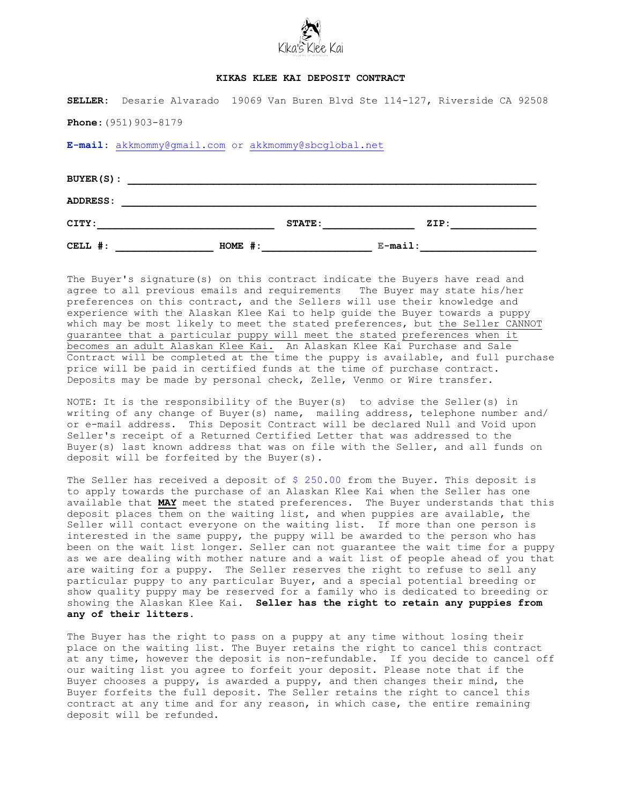

## **KIKAS KLEE KAI DEPOSIT CONTRACT**

|                                  |  |                                                      |           |               |  |            | SELLER: Desarie Alvarado 19069 Van Buren Blvd Ste 114-127, Riverside CA 92508 |  |
|----------------------------------|--|------------------------------------------------------|-----------|---------------|--|------------|-------------------------------------------------------------------------------|--|
| <b>Phone:</b> $(951) 903 - 8179$ |  |                                                      |           |               |  |            |                                                                               |  |
|                                  |  | E-mail: akkmommy@gmail.com or akkmommy@sbcglobal.net |           |               |  |            |                                                                               |  |
|                                  |  |                                                      |           |               |  |            |                                                                               |  |
|                                  |  | BUYER(S):                                            |           |               |  |            |                                                                               |  |
| ADDRESS:                         |  |                                                      |           |               |  |            |                                                                               |  |
| CITY:                            |  |                                                      |           | <b>STATE:</b> |  |            | $\texttt{ZIP}$ :                                                              |  |
| CELL #:                          |  |                                                      | $HOME$ #: |               |  | $E$ -mail: |                                                                               |  |

The Buyer's signature(s) on this contract indicate the Buyers have read and agree to all previous emails and requirements The Buyer may state his/her preferences on this contract, and the Sellers will use their knowledge and experience with the Alaskan Klee Kai to help guide the Buyer towards a puppy which may be most likely to meet the stated preferences, but the Seller CANNOT guarantee that a particular puppy will meet the stated preferences when it becomes an adult Alaskan Klee Kai. An Alaskan Klee Kai Purchase and Sale Contract will be completed at the time the puppy is available, and full purchase price will be paid in certified funds at the time of purchase contract. Deposits may be made by personal check, Zelle, Venmo or Wire transfer.

NOTE: It is the responsibility of the Buyer(s) to advise the Seller(s) in writing of any change of Buyer(s) name, mailing address, telephone number and/ or e-mail address. This Deposit Contract will be declared Null and Void upon Seller's receipt of a Returned Certified Letter that was addressed to the Buyer(s) last known address that was on file with the Seller, and all funds on deposit will be forfeited by the Buyer(s).

The Seller has received a deposit of \$ 250.00 from the Buyer. This deposit is to apply towards the purchase of an Alaskan Klee Kai when the Seller has one available that **MAY** meet the stated preferences. The Buyer understands that this deposit places them on the waiting list, and when puppies are available, the Seller will contact everyone on the waiting list. If more than one person is interested in the same puppy, the puppy will be awarded to the person who has been on the wait list longer. Seller can not guarantee the wait time for a puppy as we are dealing with mother nature and a wait list of people ahead of you that are waiting for a puppy. The Seller reserves the right to refuse to sell any particular puppy to any particular Buyer, and a special potential breeding or show quality puppy may be reserved for a family who is dedicated to breeding or showing the Alaskan Klee Kai. **Seller has the right to retain any puppies from any of their litters.** 

The Buyer has the right to pass on a puppy at any time without losing their place on the waiting list. The Buyer retains the right to cancel this contract at any time, however the deposit is non-refundable. If you decide to cancel off our waiting list you agree to forfeit your deposit. Please note that if the Buyer chooses a puppy, is awarded a puppy, and then changes their mind, the Buyer forfeits the full deposit. The Seller retains the right to cancel this contract at any time and for any reason, in which case, the entire remaining deposit will be refunded.